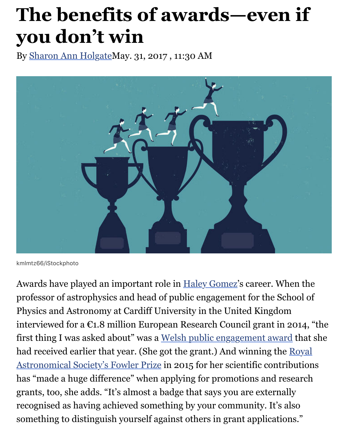# **The benefits of awards—even if you don't win**

By [Sharon Ann Holgate](http://www.sciencemag.org/author/sharon-ann-holgate)May. 31, 2017 , 11:30 AM



kmlmtz66/iStockphoto

Awards have played an important role in <u>Haley [Gomez](http://www.astro.cf.ac.uk/contactsandpeople/?page=full&id=151)</u>'s career. When the professor of astrophysics and head of public engagement for the School of Physics and Astronomy at Cardiff University in the United Kingdom interviewed for a  $\mathfrak{C}$ 1.8 million European Research Council grant in 2014, "the first thing I was asked about" was a <u>Welsh public engagement award</u> that she had received earlier that year. (She got the grant.) And winning the <u>Royal</u> [Astronomical Society's Fowler Prize in 2015 for her scientific contribution](https://www.ras.org.uk/awards-and-grants/awards/2553-winners-of-the-2015-awards-medals-and-prizes)s has "made a huge difference" when applying for promotions and research grants, too, she adds. "It's almost a badge that says you are externally recognised as having achieved something by your community. It's also something to distinguish yourself against others in grant applications."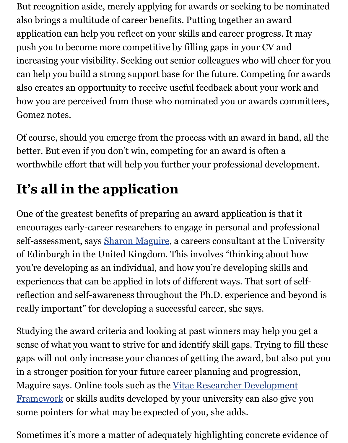But recognition aside, merely applying for awards or seeking to be nominated also brings a multitude of career benefits. Putting together an award application can help you reflect on your skills and career progress. It may push you to become more competitive by filling gaps in your CV and increasing your visibility. Seeking out senior colleagues who will cheer for you can help you build a strong support base for the future. Competing for awards also creates an opportunity to receive useful feedback about your work and how you are perceived from those who nominated you or awards committees, Gomez notes.

 Of course, should you emerge from the process with an award in hand, all the better. But even if you don't win, competing for an award is often a worthwhile effort that will help you further your professional development.

## **It's all in the application**

 One of the greatest benefits of preparing an award application is that it encourages early-career researchers to engage in personal and professional self-assessment, says <u>Sharon Maguire</u>, a careers consultant at the University of Edinburgh in the United Kingdom. This involves "thinking about how you're developing as an individual, and how you're developing skills and experiences that can be applied in lots of different ways. That sort of self- reflection and self-awareness throughout the Ph.D. experience and beyond is really important" for developing a successful career, she says.

 Studying the award criteria and looking at past winners may help you get a sense of what you want to strive for and identify skill gaps. Trying to fill these gaps will not only increase your chances of getting the award, but also put you in a stronger position for your future career planning and progression, Maguire says. Online tools such as the Vitae Researcher Development [Framework or skills audits developed by your university can also give](https://www.vitae.ac.uk/researchers-professional-development/about-the-vitae-researcher-development-framework) you some pointers for what may be expected of you, she adds.

Sometimes it's more a matter of adequately highlighting concrete evidence of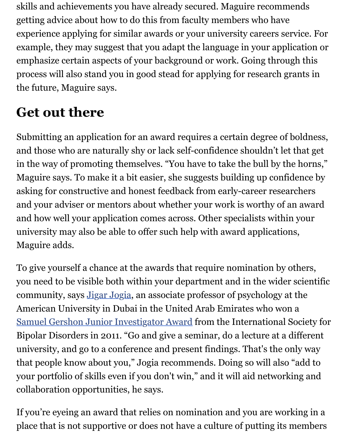skills and achievements you have already secured. Maguire recommends getting advice about how to do this from faculty members who have experience applying for similar awards or your university careers service. For example, they may suggest that you adapt the language in your application or emphasize certain aspects of your background or work. Going through this process will also stand you in good stead for applying for research grants in the future, Maguire says.

### **Get out there**

 Submitting an application for an award requires a certain degree of boldness, and those who are naturally shy or lack self-confidence shouldn't let that get in the way of promoting themselves. "You have to take the bull by the horns," Maguire says. To make it a bit easier, she suggests building up confidence by asking for constructive and honest feedback from early-career researchers and your adviser or mentors about whether your work is worthy of an award and how well your application comes across. Other specialists within your university may also be able to offer such help with award applications, Maguire adds.

 To give yourself a chance at the awards that require nomination by others, you need to be visible both within your department and in the wider scientific community, says [Jigar Jogia,](http://www.aud.edu/about_aud/en/page/4448/jigar-rasiklal-jogia) an associate professor of psychology at the American University in Dubai in the United Arab Emirates who won a [Samuel Gershon Junior Investigator Award](http://www.isbd.org/award-winners-samuel-gershon-junior-investigator-award) from the International Society for Bipolar Disorders in 2011. "Go and give a seminar, do a lecture at a different university, and go to a conference and present findings. That's the only way that people know about you," Jogia recommends. Doing so will also "add to your portfolio of skills even if you don't win," and it will aid networking and collaboration opportunities, he says.

 If you're eyeing an award that relies on nomination and you are working in a place that is not supportive or does not have a culture of putting its members